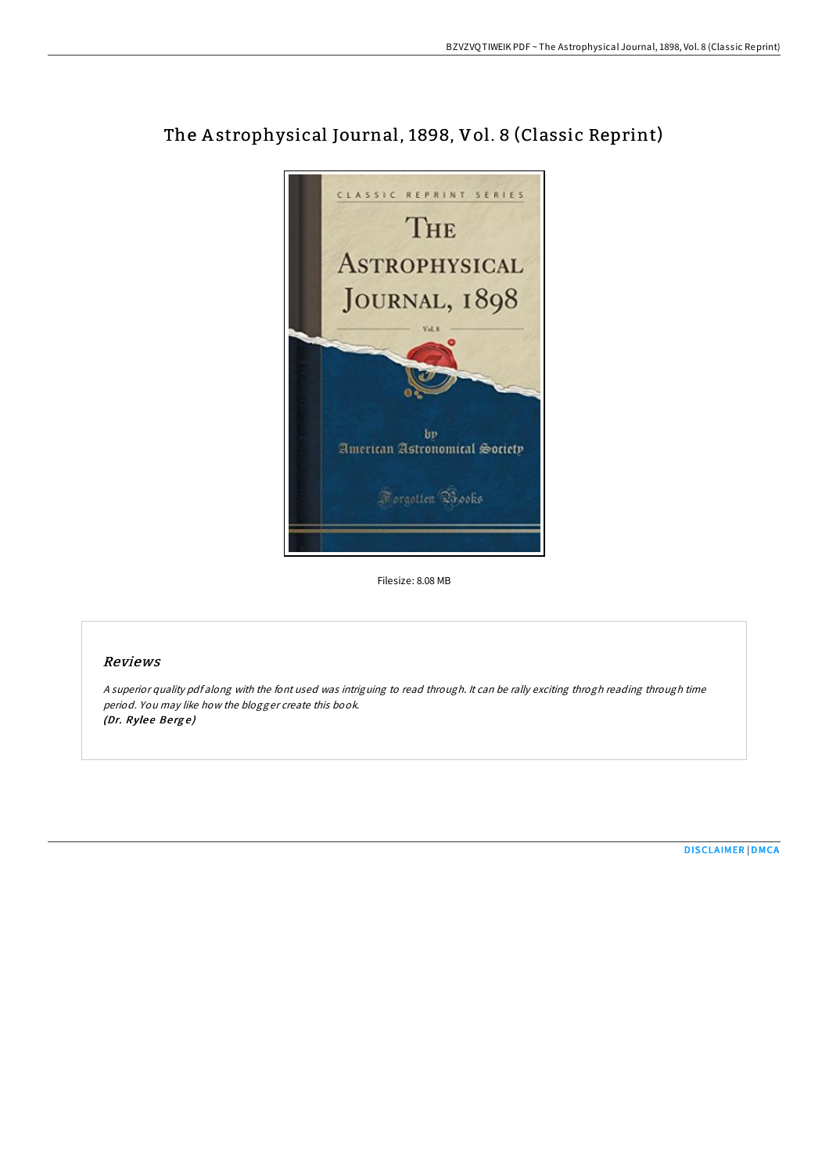

# The A strophysical Journal, 1898, Vol. 8 (Classic Reprint)

Filesize: 8.08 MB

## Reviews

<sup>A</sup> superior quality pdf along with the font used was intriguing to read through. It can be rally exciting throgh reading through time period. You may like how the blogger create this book. (Dr. Rylee Berge)

[DISCLAIMER](http://almighty24.tech/disclaimer.html) | [DMCA](http://almighty24.tech/dmca.html)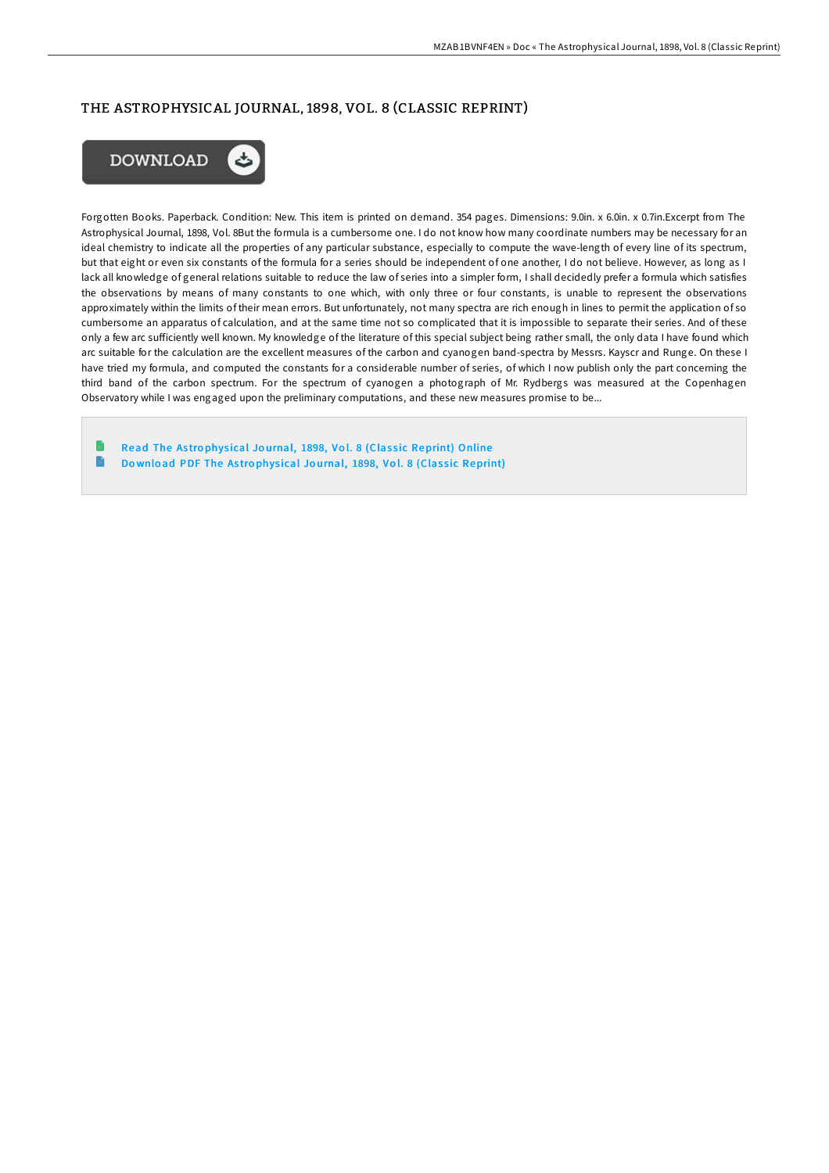# THE ASTROPHYSICAL JOURNAL, 1898, VOL. 8 (CLASSIC REPRINT)



Forgotten Books. Paperback. Condition: New. This item is printed on demand. 354 pages. Dimensions: 9.0in. x 6.0in. x 0.7in.Excerpt from The Astrophysical Journal, 1898, Vol. 8But the formula is a cumbersome one. I do not know how many coordinate numbers may be necessary for an ideal chemistry to indicate all the properties of any particular substance, especially to compute the wave-length of every line of its spectrum, but that eight or even six constants of the formula for a series should be independent of one another, I do not believe. However, as long as I lack all knowledge of general relations suitable to reduce the law of series into a simpler form, I shall decidedly prefer a formula which satisfies the observations by means of many constants to one which, with only three or four constants, is unable to represent the observations approximately within the limits of their mean errors. But unfortunately, not many spectra are rich enough in lines to permit the application of so cumbersome an apparatus of calculation, and at the same time not so complicated that it is impossible to separate their series. And of these only a few arc sufficiently well known. My knowledge of the literature of this special subject being rather small, the only data I have found which arc suitable for the calculation are the excellent measures of the carbon and cyanogen band-spectra by Messrs. Kayscr and Runge. On these I have tried my formula, and computed the constants for a considerable number of series, of which I now publish only the part concerning the third band of the carbon spectrum. For the spectrum of cyanogen a photograph of Mr. Rydbergs was measured at the Copenhagen Observatory while I was engaged upon the preliminary computations, and these new measures promise to be...

Read The Astrophysical Journal, 1898, Vol. 8 (Classic [Reprint\)](http://almighty24.tech/the-astrophysical-journal-1898-vol-8-classic-rep.html) Online  $\blacksquare$ Download PDF The Astrophysical Journal, 1898, Vol. 8 (Classic [Reprint\)](http://almighty24.tech/the-astrophysical-journal-1898-vol-8-classic-rep.html)